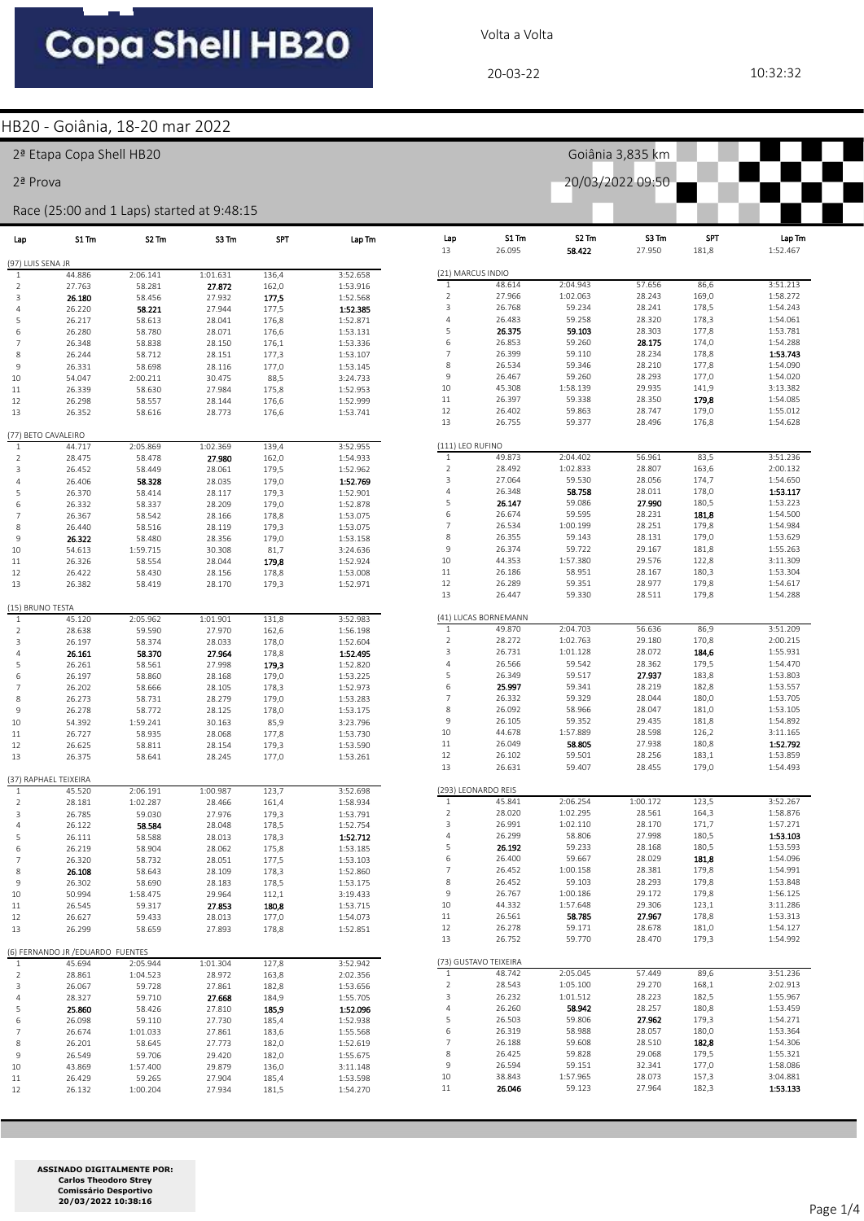Volta a Volta

Goiânia 3,835 km

20/03/2022 09:50

#### HB20 - Goiânia, 18-20 mar 2022

2ª Etapa Copa Shell HB20

2ª Prova

#### Race (25:00 and 1 Laps) started at 9:48:15

| Lap                              | S1 Tm                                       | S2 Tm    | S3 Tm    | <b>SPT</b> | Lap Tm   | Lap<br>13         | S1 Tm<br>26.095       | S2 Tm<br>58.422  | S3 Tm<br>27.950  | <b>SPT</b><br>181,8 | Lap Tm<br>1:52.467   |
|----------------------------------|---------------------------------------------|----------|----------|------------|----------|-------------------|-----------------------|------------------|------------------|---------------------|----------------------|
| (97) LUIS SENA JR                |                                             |          |          |            |          |                   |                       |                  |                  |                     |                      |
| 1                                | 44.886                                      | 2:06.141 | 1:01.631 | 136,4      | 3:52.658 | (21) MARCUS INDIO |                       |                  |                  |                     |                      |
| $\overline{2}$                   | 27.763                                      | 58.281   | 27.872   | 162,0      | 1:53.916 | $\mathbf{1}$      | 48.614                | 2:04.943         | 57.656           | 86,6                | 3:51.213             |
| 3                                | 26.180                                      | 58.456   | 27.932   | 177,5      | 1:52.568 | $\sqrt{2}$        | 27.966                | 1:02.063         | 28.243           | 169,0               | 1:58.272             |
| $\overline{4}$                   | 26.220                                      | 58.221   | 27.944   | 177,5      | 1:52.385 | 3                 | 26.768                | 59.234           | 28.241           | 178,5               | 1:54.243             |
| 5                                | 26.217                                      | 58.613   | 28.041   | 176,8      | 1:52.871 | $\overline{4}$    | 26.483                | 59.258           | 28.320           | 178,3               | 1:54.061             |
| 6                                | 26.280                                      | 58.780   | 28.071   | 176,6      | 1:53.131 | 5                 | 26.375                | 59.103           | 28.303           | 177,8               | 1:53.781             |
| 7                                | 26.348                                      | 58.838   | 28.150   | 176,1      | 1:53.336 | $\,$ 6            | 26.853                | 59.260           | 28.175           | 174,0               | 1:54.288             |
| 8                                | 26.244                                      | 58.712   | 28.151   | 177,3      | 1:53.107 | $\overline{7}$    | 26.399                | 59.110           | 28.234           | 178,8               | 1:53.743             |
| 9                                | 26.331                                      | 58.698   | 28.116   | 177,0      | 1:53.145 | 8                 | 26.534                | 59.346           | 28.210           | 177,8               | 1:54.090             |
| 10                               | 54.047                                      | 2:00.211 | 30.475   | 88,5       | 3:24.733 | $\mathsf 9$       | 26.467                | 59.260           | 28.293           | 177,0               | 1:54.020             |
| 11                               | 26.339                                      | 58.630   | 27.984   | 175,8      | 1:52.953 | 10                | 45.308                | 1:58.139         | 29.935           | 141,9               | 3:13.382             |
| 12                               | 26.298                                      | 58.557   | 28.144   | 176,6      | 1:52.999 | 11                | 26.397                | 59.338           | 28.350           | 179,8               | 1:54.085             |
| 13                               | 26.352                                      | 58.616   | 28.773   | 176,6      | 1:53.741 | 12<br>13          | 26.402<br>26.755      | 59.863<br>59.377 | 28.747<br>28.496 | 179,0<br>176,8      | 1:55.012<br>1:54.628 |
|                                  | (77) BETO CAVALEIRO                         |          |          |            |          |                   |                       |                  |                  |                     |                      |
| $\mathbf{1}$                     | 44.717                                      | 2:05.869 | 1:02.369 | 139,4      | 3:52.955 | (111) LEO RUFINO  |                       |                  |                  |                     |                      |
| $\overline{2}$                   | 28.475                                      | 58.478   | 27.980   | 162,0      | 1:54.933 | $\mathbf{1}$      | 49.873                | 2:04.402         | 56.961           | 83,5                | 3:51.236             |
| 3                                | 26.452                                      | 58.449   | 28.061   | 179,5      | 1:52.962 | $\mathbf 2$       | 28.492                | 1:02.833         | 28.807           | 163,6               | 2:00.132             |
| $\overline{4}$                   | 26.406                                      | 58.328   | 28.035   | 179,0      | 1:52.769 | 3                 | 27.064                | 59.530           | 28.056           | 174,7               | 1:54.650             |
| 5                                | 26.370                                      | 58.414   | 28.117   | 179,3      | 1:52.901 | $\overline{4}$    | 26.348                | 58.758           | 28.011           | 178,0               | 1:53.117             |
| 6                                | 26.332                                      | 58.337   | 28.209   | 179,0      | 1:52.878 | 5                 | 26.147                | 59.086           | 27.990           | 180,5               | 1:53.223             |
| 7                                | 26.367                                      | 58.542   | 28.166   | 178,8      | 1:53.075 | 6                 | 26.674                | 59.595           | 28.231           | 181,8               | 1:54.500             |
| 8                                | 26.440                                      | 58.516   | 28.119   | 179,3      | 1:53.075 | $\overline{7}$    | 26.534                | 1:00.199         | 28.251           | 179,8               | 1:54.984             |
| 9                                | 26.322                                      | 58.480   | 28.356   | 179,0      | 1:53.158 | $\,$ 8 $\,$       | 26.355                | 59.143           | 28.131           | 179,0               | 1:53.629             |
| 10                               | 54.613                                      | 1:59.715 | 30.308   | 81,7       | 3:24.636 | $9\,$             | 26.374                | 59.722           | 29.167           | 181,8               | 1:55.263             |
| 11                               | 26.326                                      | 58.554   | 28.044   | 179,8      | 1:52.924 | 10                | 44.353                | 1:57.380         | 29.576           | 122,8               | 3:11.309             |
| 12                               | 26.422                                      | 58.430   | 28.156   | 178,8      | 1:53.008 | 11                | 26.186                | 58.951           | 28.167           | 180,3               | 1:53.304             |
| 13                               | 26.382                                      | 58.419   | 28.170   | 179,3      | 1:52.971 | 12                | 26.289                | 59.351           | 28.977           | 179,8               | 1:54.617             |
|                                  |                                             |          |          |            |          | 13                | 26.447                | 59.330           | 28.511           | 179,8               | 1:54.288             |
| (15) BRUNO TESTA<br>$\mathbf{1}$ | 45.120                                      | 2:05.962 | 1:01.901 | 131,8      | 3:52.983 |                   | (41) LUCAS BORNEMANN  |                  |                  |                     |                      |
| 2                                | 28.638                                      | 59.590   | 27.970   | 162,6      | 1:56.198 | $\mathbf{1}$      | 49.870                | 2:04.703         | 56.636           | 86,9                | 3:51.209             |
| 3                                | 26.197                                      | 58.374   | 28.033   | 178,0      | 1:52.604 | $\mathbf 2$       | 28.272                | 1:02.763         | 29.180           | 170,8               | 2:00.215             |
| $\overline{4}$                   | 26.161                                      | 58.370   | 27.964   | 178,8      | 1:52.495 | 3                 | 26.731                | 1:01.128         | 28.072           | 184,6               | 1:55.931             |
| 5                                | 26.261                                      | 58.561   | 27.998   | 179,3      | 1:52.820 | $\overline{4}$    | 26.566                | 59.542           | 28.362           | 179,5               | 1:54.470             |
| 6                                | 26.197                                      | 58.860   | 28.168   | 179,0      | 1:53.225 | 5                 | 26.349                | 59.517           | 27.937           | 183,8               | 1:53.803             |
| 7                                | 26.202                                      | 58.666   | 28.105   | 178,3      | 1:52.973 | 6                 | 25.997                | 59.341           | 28.219           | 182,8               | 1:53.557             |
| 8                                | 26.273                                      | 58.731   | 28.279   | 179,0      | 1:53.283 | $\overline{7}$    | 26.332                | 59.329           | 28.044           | 180,0               | 1:53.705             |
| 9                                | 26.278                                      | 58.772   | 28.125   | 178,0      | 1:53.175 | $\,$ 8 $\,$       | 26.092                | 58.966           | 28.047           | 181,0               | 1:53.105             |
| 10                               | 54.392                                      | 1:59.241 | 30.163   | 85,9       | 3:23.796 | 9                 | 26.105                | 59.352           | 29.435           | 181,8               | 1:54.892             |
| 11                               | 26.727                                      | 58.935   | 28.068   | 177,8      | 1:53.730 | 10                | 44.678                | 1:57.889         | 28.598           | 126,2               | 3:11.165             |
| 12                               | 26.625                                      | 58.811   | 28.154   | 179,3      | 1:53.590 | 11                | 26.049                | 58.805           | 27.938           | 180,8               | 1:52.792             |
| 13                               | 26.375                                      | 58.641   | 28.245   | 177,0      | 1:53.261 | 12                | 26.102                | 59.501           | 28.256           | 183,1               | 1:53.859             |
|                                  | (37) RAPHAEL TEIXEIRA                       |          |          |            |          | 13                | 26.631                | 59.407           | 28.455           | 179,0               | 1:54.493             |
| $\mathbf{1}$                     | 45.520                                      | 2:06.191 | 1:00.987 | 123,7      | 3:52.698 |                   | (293) LEONARDO REIS   |                  |                  |                     |                      |
| $\overline{2}$                   | 28.181                                      | 1:02.287 | 28.466   | 161,4      | 1:58.934 | $\mathbf{1}$      | 45.841                | 2:06.254         | 1:00.172         | 123,5               | 3:52.267             |
| 3                                | 26.785                                      | 59.030   | 27.976   | 179,3      | 1:53.791 | $\mathbf 2$       | 28.020                | 1:02.295         | 28.561           | 164,3               | 1:58.876             |
| $\overline{4}$                   | 26.122                                      | 58.584   | 28.048   | 178,5      | 1:52.754 | 3                 | 26.991                | 1:02.110         | 28.170           | 171,7               | 1:57.271             |
| 5                                | 26.111                                      | 58.588   | 28.013   | 178,3      | 1:52.712 | $\overline{4}$    | 26.299                | 58.806           | 27.998           | 180,5               | 1:53.103             |
| 6                                | 26.219                                      | 58.904   | 28.062   | 175,8      | 1:53.185 | 5                 | 26.192                | 59.233           | 28.168           | 180,5               | 1:53.593             |
| $\overline{7}$                   | 26.320                                      | 58.732   | 28.051   | 177,5      | 1:53.103 | 6                 | 26.400                | 59.667           | 28.029           | 181,8               | 1:54.096             |
| 8                                | 26.108                                      | 58.643   | 28.109   | 178,3      | 1:52.860 | $\overline{7}$    | 26.452                | 1:00.158         | 28.381           | 179,8               | 1:54.991             |
| 9                                | 26.302                                      | 58.690   | 28.183   | 178,5      | 1:53.175 | 8                 | 26.452                | 59.103           | 28.293           | 179,8               | 1:53.848             |
| 10                               | 50.994                                      | 1:58.475 | 29.964   | 112,1      | 3:19.433 | 9                 | 26.767                | 1:00.186         | 29.172           | 179,8               | 1:56.125             |
| 11                               | 26.545                                      | 59.317   | 27.853   | 180,8      | 1:53.715 | 10                | 44.332                | 1:57.648         | 29.306           | 123,1               | 3:11.286             |
| 12                               | 26.627                                      | 59.433   | 28.013   | 177,0      | 1:54.073 | $11\,$            | 26.561                | 58.785           | 27.967           | 178,8               | 1:53.313             |
| 13                               | 26.299                                      | 58.659   | 27.893   | 178,8      | 1:52.851 | 12                | 26.278                | 59.171           | 28.678           | 181,0               | 1:54.127             |
|                                  |                                             |          |          |            |          | 13                | 26.752                | 59.770           | 28.470           | 179,3               | 1:54.992             |
| $\mathbf{1}$                     | (6) FERNANDO JR / EDUARDO FUENTES<br>45.694 | 2:05.944 | 1:01.304 | 127,8      | 3:52.942 |                   | (73) GUSTAVO TEIXEIRA |                  |                  |                     |                      |
| 2                                | 28.861                                      | 1:04.523 | 28.972   | 163,8      | 2:02.356 | $\mathbf{1}$      | 48.742                | 2:05.045         | 57.449           | 89,6                | 3:51.236             |
| 3                                | 26.067                                      | 59.728   | 27.861   | 182,8      | 1:53.656 | $\sqrt{2}$        | 28.543                | 1:05.100         | 29.270           | 168,1               | 2:02.913             |
| $\overline{a}$                   | 28.327                                      | 59.710   | 27.668   | 184,9      | 1:55.705 | 3                 | 26.232                | 1:01.512         | 28.223           | 182,5               | 1:55.967             |
| 5                                | 25.860                                      | 58.426   | 27.810   | 185,9      | 1:52.096 | 4                 | 26.260                | 58.942           | 28.257           | 180,8               | 1:53.459             |
| 6                                | 26.098                                      | 59.110   | 27.730   | 185,4      | 1:52.938 | 5                 | 26.503                | 59.806           | 27.962           | 179,3               | 1:54.271             |
| $\overline{7}$                   | 26.674                                      | 1:01.033 | 27.861   | 183,6      | 1:55.568 | 6                 | 26.319                | 58.988           | 28.057           | 180,0               | 1:53.364             |
| 8                                | 26.201                                      | 58.645   | 27.773   | 182,0      | 1:52.619 | $\overline{7}$    | 26.188                | 59.608           | 28.510           | 182,8               | 1:54.306             |
| 9                                | 26.549                                      | 59.706   | 29.420   | 182,0      | 1:55.675 | 8                 | 26.425                | 59.828           | 29.068           | 179,5               | 1:55.321             |
| 10                               | 43.869                                      | 1:57.400 | 29.879   | 136,0      | 3:11.148 | 9                 | 26.594                | 59.151           | 32.341           | 177,0               | 1:58.086             |
| 11                               | 26.429                                      | 59.265   | 27.904   | 185,4      | 1:53.598 | 10                | 38.843                | 1:57.965         | 28.073           | 157,3               | 3:04.881             |
| 12                               | 26.132                                      | 1:00.204 | 27.934   | 181,5      | 1:54.270 | $11\,$            | 26.046                | 59.123           | 27.964           | 182,3               | 1:53.133             |
|                                  |                                             |          |          |            |          |                   |                       |                  |                  |                     |                      |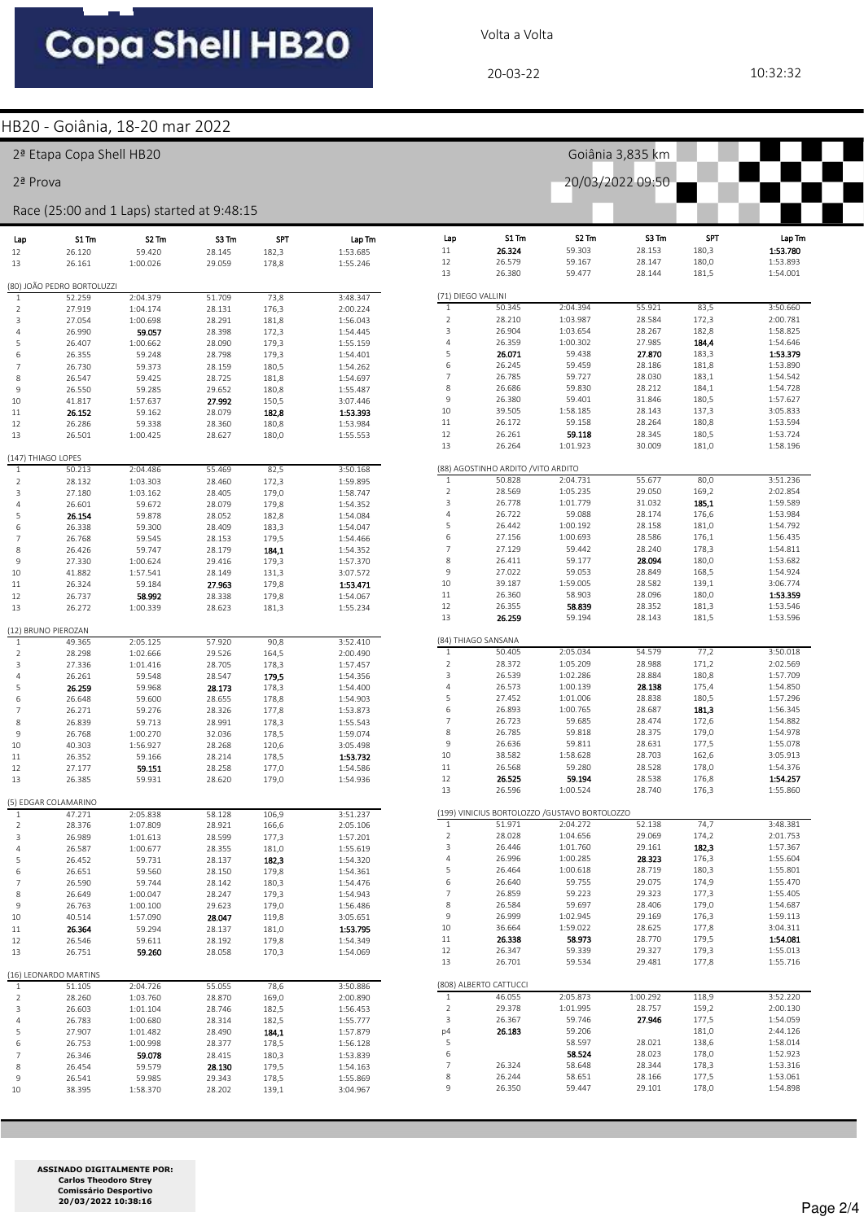Volta a Volta

#### HB20 - Goiânia, 18-20 mar 2022

|                                  | 2 <sup>ª</sup> Etapa Copa Shell HB20 |                                            |                  |                     |                      |                         | Goiânia 3,835 km                    |                                                |                  |                     |                      |  |  |  |  |
|----------------------------------|--------------------------------------|--------------------------------------------|------------------|---------------------|----------------------|-------------------------|-------------------------------------|------------------------------------------------|------------------|---------------------|----------------------|--|--|--|--|
| 2ª Prova                         |                                      |                                            |                  |                     |                      |                         |                                     |                                                | 20/03/2022 09:50 |                     |                      |  |  |  |  |
|                                  |                                      | Race (25:00 and 1 Laps) started at 9:48:15 |                  |                     |                      |                         |                                     |                                                |                  |                     |                      |  |  |  |  |
| Lap<br>12                        | S1 Tm<br>26.120                      | S <sub>2</sub> Tm<br>59.420                | S3Tm<br>28.145   | <b>SPT</b><br>182,3 | Lap Tm<br>1:53.685   | Lap<br>11               | S1 Tm<br>26.324                     | S2 Tm<br>59.303                                | S3 Tm<br>28.153  | <b>SPT</b><br>180,3 | Lap Tm<br>1:53.780   |  |  |  |  |
| 13                               | 26.161                               | 1:00.026                                   | 29.059           | 178,8               | 1:55.246             | 12<br>13                | 26.579<br>26.380                    | 59.167<br>59.477                               | 28.147<br>28.144 | 180,0<br>181,5      | 1:53.893<br>1:54.001 |  |  |  |  |
|                                  | (80) JOÃO PEDRO BORTOLUZZI           |                                            |                  |                     |                      |                         |                                     |                                                |                  |                     |                      |  |  |  |  |
| $\mathbf{1}$                     | 52.259                               | 2:04.379                                   | 51.709           | 73,8                | 3:48.347             | (71) DIEGO VALLINI      | 50.345                              | 2:04.394                                       | 55.921           |                     | 3:50.660             |  |  |  |  |
| $\overline{2}$<br>$\overline{3}$ | 27.919<br>27.054                     | 1:04.174<br>1:00.698                       | 28.131<br>28.291 | 176,3<br>181,8      | 2:00.224<br>1:56.043 | 1<br>$\mathsf{2}$       | 28.210                              | 1:03.987                                       | 28.584           | 83,5<br>172,3       | 2:00.781             |  |  |  |  |
| $\overline{4}$                   | 26.990                               | 59.057                                     | 28.398           | 172,3               | 1:54.445             | 3                       | 26.904                              | 1:03.654                                       | 28.267           | 182,8               | 1:58.825             |  |  |  |  |
| 5                                | 26.407                               | 1:00.662                                   | 28.090           | 179,3               | 1:55.159             | $\overline{4}$          | 26.359                              | 1:00.302                                       | 27.985           | 184,4               | 1:54.646             |  |  |  |  |
| 6                                | 26.355                               | 59.248                                     | 28.798           | 179,3               | 1:54.401             | 5                       | 26.071                              | 59.438                                         | 27.870           | 183,3               | 1:53.379             |  |  |  |  |
| $\overline{7}$                   | 26.730                               | 59.373                                     | 28.159           | 180,5               | 1:54.262             | 6                       | 26.245                              | 59.459                                         | 28.186           | 181,8               | 1:53.890             |  |  |  |  |
| 8                                | 26.547                               | 59.425                                     | 28.725           | 181,8               | 1:54.697             | $\overline{7}$          | 26.785                              | 59.727                                         | 28.030           | 183,1               | 1:54.542             |  |  |  |  |
| 9                                | 26.550                               | 59.285                                     | 29.652           | 180,8               | 1:55.487             | 8<br>9                  | 26.686<br>26.380                    | 59.830<br>59.401                               | 28.212<br>31.846 | 184,1<br>180,5      | 1:54.728<br>1:57.627 |  |  |  |  |
| 10<br>11                         | 41.817<br>26.152                     | 1:57.637<br>59.162                         | 27.992<br>28.079 | 150,5<br>182,8      | 3:07.446<br>1:53.393 | 10                      | 39.505                              | 1:58.185                                       | 28.143           | 137,3               | 3:05.833             |  |  |  |  |
| 12                               | 26.286                               | 59.338                                     | 28.360           | 180,8               | 1:53.984             | 11                      | 26.172                              | 59.158                                         | 28.264           | 180,8               | 1:53.594             |  |  |  |  |
| 13                               | 26.501                               | 1:00.425                                   | 28.627           | 180,0               | 1:55.553             | 12                      | 26.261                              | 59.118                                         | 28.345           | 180,5               | 1:53.724             |  |  |  |  |
|                                  |                                      |                                            |                  |                     |                      | 13                      | 26.264                              | 1:01.923                                       | 30.009           | 181,0               | 1:58.196             |  |  |  |  |
| (147) THIAGO LOPES               |                                      |                                            |                  |                     |                      |                         | (88) AGOSTINHO ARDITO / VITO ARDITO |                                                |                  |                     |                      |  |  |  |  |
| $\mathbf{1}$<br>$\overline{2}$   | 50.213<br>28.132                     | 2:04.486<br>1:03.303                       | 55.469<br>28.460 | 82,5<br>172,3       | 3:50.168<br>1:59.895 | $\mathbf{1}$            | 50.828                              | 2:04.731                                       | 55.677           | 80,0                | 3:51.236             |  |  |  |  |
| 3                                | 27.180                               | 1:03.162                                   | 28.405           | 179,0               | 1:58.747             | $\overline{2}$          | 28.569                              | 1:05.235                                       | 29.050           | 169,2               | 2:02.854             |  |  |  |  |
| $\overline{4}$                   | 26.601                               | 59.672                                     | 28.079           | 179,8               | 1:54.352             | $\overline{\mathbf{3}}$ | 26.778                              | 1:01.779                                       | 31.032           | 185,1               | 1:59.589             |  |  |  |  |
| 5                                | 26.154                               | 59.878                                     | 28.052           | 182,8               | 1:54.084             | $\overline{4}$          | 26.722                              | 59.088                                         | 28.174           | 176,6               | 1:53.984             |  |  |  |  |
| 6                                | 26.338                               | 59.300                                     | 28.409           | 183,3               | 1:54.047             | 5                       | 26.442                              | 1:00.192                                       | 28.158           | 181,0               | 1:54.792             |  |  |  |  |
| 7                                | 26.768                               | 59.545                                     | 28.153           | 179,5               | 1:54.466             | 6                       | 27.156                              | 1:00.693                                       | 28.586           | 176,1               | 1:56.435             |  |  |  |  |
| 8                                | 26.426                               | 59.747                                     | 28.179           | 184,1               | 1:54.352             | $\overline{7}$<br>8     | 27.129<br>26.411                    | 59.442<br>59.177                               | 28.240<br>28.094 | 178,3<br>180,0      | 1:54.811<br>1:53.682 |  |  |  |  |
| 9<br>10                          | 27.330<br>41.882                     | 1:00.624<br>1:57.541                       | 29.416<br>28.149 | 179,3<br>131,3      | 1:57.370<br>3:07.572 | 9                       | 27.022                              | 59.053                                         | 28.849           | 168,5               | 1:54.924             |  |  |  |  |
| 11                               | 26.324                               | 59.184                                     | 27.963           | 179,8               | 1:53.471             | 10                      | 39.187                              | 1:59.005                                       | 28.582           | 139,1               | 3:06.774             |  |  |  |  |
| 12                               | 26.737                               | 58.992                                     | 28.338           | 179,8               | 1:54.067             | 11                      | 26.360                              | 58.903                                         | 28.096           | 180,0               | 1:53.359             |  |  |  |  |
| 13                               | 26.272                               | 1:00.339                                   | 28.623           | 181,3               | 1:55.234             | 12                      | 26.355                              | 58.839                                         | 28.352           | 181,3               | 1:53.546             |  |  |  |  |
|                                  |                                      |                                            |                  |                     |                      | 13                      | 26.259                              | 59.194                                         | 28.143           | 181,5               | 1:53.596             |  |  |  |  |
| $\mathbf{1}$                     | (12) BRUNO PIEROZAN<br>49.365        | 2:05.125                                   | 57.920           | 90,8                | 3:52.410             |                         | (84) THIAGO SANSANA                 |                                                |                  |                     |                      |  |  |  |  |
| $\overline{2}$                   | 28.298                               | 1:02.666                                   | 29.526           | 164,5               | 2:00.490             | 1                       | 50.405                              | 2:05.034                                       | 54.579           | 77,2                | 3:50.018             |  |  |  |  |
| 3                                | 27.336                               | 1:01.416                                   | 28.705           | 178,3               | 1:57.457             | $\overline{2}$          | 28.372                              | 1:05.209                                       | 28.988           | 171,2               | 2:02.569             |  |  |  |  |
| $\overline{4}$                   | 26.261                               | 59.548                                     | 28.547           | 179,5               | 1:54.356             | 3                       | 26.539                              | 1:02.286                                       | 28.884           | 180,8               | 1:57.709             |  |  |  |  |
| 5                                | 26.259                               | 59.968                                     | 28.173           | 178,3               | 1:54.400             | $\overline{4}$          | 26.573                              | 1:00.139                                       | 28.138           | 175,4               | 1:54.850             |  |  |  |  |
| 6                                | 26.648                               | 59.600                                     | 28.655           | 178,8               | 1:54.903             | 5<br>6                  | 27.452                              | 1:01.006                                       | 28.838           | 180,5               | 1:57.296             |  |  |  |  |
| 7<br>8                           | 26.271<br>26.839                     | 59.276<br>59.713                           | 28.326<br>28.991 | 177,8<br>178,3      | 1:53.873<br>1:55.543 | $\overline{7}$          | 26.893<br>26.723                    | 1:00.765<br>59.685                             | 28.687<br>28.474 | 181,3<br>172,6      | 1:56.345<br>1:54.882 |  |  |  |  |
| 9                                | 26.768                               | 1:00.270                                   | 32.036           | 178,5               | 1:59.074             | 8                       | 26.785                              | 59.818                                         | 28.375           | 179,0               | 1:54.978             |  |  |  |  |
| 10                               | 40.303                               | 1:56.927                                   | 28.268           | 120,6               | 3:05.498             | 9                       | 26.636                              | 59.811                                         | 28.631           | 177,5               | 1:55.078             |  |  |  |  |
| 11                               | 26.352                               | 59.166                                     | 28.214           | 178,5               | 1:53.732             | 10                      | 38.582                              | 1:58.628                                       | 28.703           | 162,6               | 3:05.913             |  |  |  |  |
| 12                               | 27.177                               | 59.151                                     | 28.258           | 177,0               | 1:54.586             | 11                      | 26.568                              | 59.280                                         | 28.528           | 178,0               | 1:54.376             |  |  |  |  |
| 13                               | 26.385                               | 59.931                                     | 28.620           | 179,0               | 1:54.936             | 12                      | 26.525                              | 59.194                                         | 28.538           | 176,8               | 1:54.257             |  |  |  |  |
|                                  | (5) EDGAR COLAMARINO                 |                                            |                  |                     |                      | 13                      | 26.596                              | 1:00.524                                       | 28.740           | 176,3               | 1:55.860             |  |  |  |  |
| $\mathbf{1}$                     | 47.271                               | 2:05.838                                   | 58.128           | 106,9               | 3:51.237             |                         |                                     | (199) VINICIUS BORTOLOZZO / GUSTAVO BORTOLOZZO |                  |                     |                      |  |  |  |  |
| $\overline{2}$                   | 28.376                               | 1:07.809                                   | 28.921           | 166,6               | 2:05.106             | $\mathbf{1}$            | 51.971                              | 2:04.272                                       | 52.138           | 74,7                | 3:48.381             |  |  |  |  |
| 3                                | 26.989                               | 1:01.613                                   | 28.599           | 177,3               | 1:57.201             | $\overline{2}$          | 28.028                              | 1:04.656                                       | 29.069           | 174,2               | 2:01.753             |  |  |  |  |
| 4                                | 26.587                               | 1:00.677                                   | 28.355           | 181,0               | 1:55.619             | 3                       | 26.446                              | 1:01.760                                       | 29.161           | 182,3               | 1:57.367             |  |  |  |  |
| 5<br>6                           | 26.452<br>26.651                     | 59.731<br>59.560                           | 28.137<br>28.150 | 182,3<br>179,8      | 1:54.320<br>1:54.361 | $\overline{4}$<br>5     | 26.996<br>26.464                    | 1:00.285<br>1:00.618                           | 28.323<br>28.719 | 176,3<br>180,3      | 1:55.604<br>1:55.801 |  |  |  |  |
| 7                                | 26.590                               | 59.744                                     | 28.142           | 180,3               | 1:54.476             | 6                       | 26.640                              | 59.755                                         | 29.075           | 174,9               | 1:55.470             |  |  |  |  |
| 8                                | 26.649                               | 1:00.047                                   | 28.247           | 179,3               | 1:54.943             | 7                       | 26.859                              | 59.223                                         | 29.323           | 177,3               | 1:55.405             |  |  |  |  |
| 9                                | 26.763                               | 1:00.100                                   | 29.623           | 179,0               | 1:56.486             | 8                       | 26.584                              | 59.697                                         | 28.406           | 179,0               | 1:54.687             |  |  |  |  |
| 10                               | 40.514                               | 1:57.090                                   | 28.047           | 119,8               | 3:05.651             | 9                       | 26.999                              | 1:02.945                                       | 29.169           | 176,3               | 1:59.113             |  |  |  |  |
| 11                               | 26.364                               | 59.294                                     | 28.137           | 181,0               | 1:53.795             | 10                      | 36.664                              | 1:59.022                                       | 28.625           | 177,8               | 3:04.311             |  |  |  |  |
| 12                               | 26.546                               | 59.611                                     | 28.192           | 179,8               | 1:54.349             | 11<br>12                | 26.338<br>26.347                    | 58.973<br>59.339                               | 28.770<br>29.327 | 179,5<br>179,3      | 1:54.081<br>1:55.013 |  |  |  |  |
| 13                               | 26.751                               | 59.260                                     | 28.058           | 170,3               | 1:54.069             | 13                      | 26.701                              | 59.534                                         | 29.481           | 177,8               | 1:55.716             |  |  |  |  |
|                                  | (16) LEONARDO MARTINS                |                                            |                  |                     |                      |                         |                                     |                                                |                  |                     |                      |  |  |  |  |
| <sup>1</sup>                     | 51.105                               | 2:04.726                                   | 55.055           | 78,6                | 3:50.886             |                         | (808) ALBERTO CATTUCCI              |                                                |                  |                     |                      |  |  |  |  |
| $\overline{2}$                   | 28.260                               | 1:03.760                                   | 28.870           | 169,0               | 2:00.890             | $\mathbf{1}$            | 46.055                              | 2:05.873                                       | 1:00.292         | 118,9               | 3:52.220             |  |  |  |  |
| 3<br>$\overline{4}$              | 26.603                               | 1:01.104<br>1:00.680                       | 28.746           | 182,5               | 1:56.453             | $\overline{2}$<br>3     | 29.378<br>26.367                    | 1:01.995<br>59.746                             | 28.757<br>27.946 | 159,2<br>177,5      | 2:00.130<br>1:54.059 |  |  |  |  |
| 5                                | 26.783<br>27.907                     | 1:01.482                                   | 28.314<br>28.490 | 182,5<br>184,1      | 1:55.777<br>1:57.879 | p4                      | 26.183                              | 59.206                                         |                  | 181,0               | 2:44.126             |  |  |  |  |
| 6                                | 26.753                               | 1:00.998                                   | 28.377           | 178,5               | 1:56.128             | 5                       |                                     | 58.597                                         | 28.021           | 138,6               | 1:58.014             |  |  |  |  |
| $\overline{7}$                   | 26.346                               | 59.078                                     | 28.415           | 180,3               | 1:53.839             | 6                       |                                     | 58.524                                         | 28.023           | 178,0               | 1:52.923             |  |  |  |  |
| 8                                | 26.454                               | 59.579                                     | 28.130           | 179,5               | 1:54.163             | 7                       | 26.324                              | 58.648                                         | 28.344           | 178,3               | 1:53.316             |  |  |  |  |
| 9                                | 26.541                               | 59.985                                     | 29.343           | 178,5               | 1:55.869             | 8                       | 26.244                              | 58.651                                         | 28.166           | 177,5               | 1:53.061             |  |  |  |  |
| 10                               | 38.395                               | 1:58.370                                   | 28.202           | 139,1               | 3:04.967             | 9                       | 26.350                              | 59.447                                         | 29.101           | 178,0               | 1:54.898             |  |  |  |  |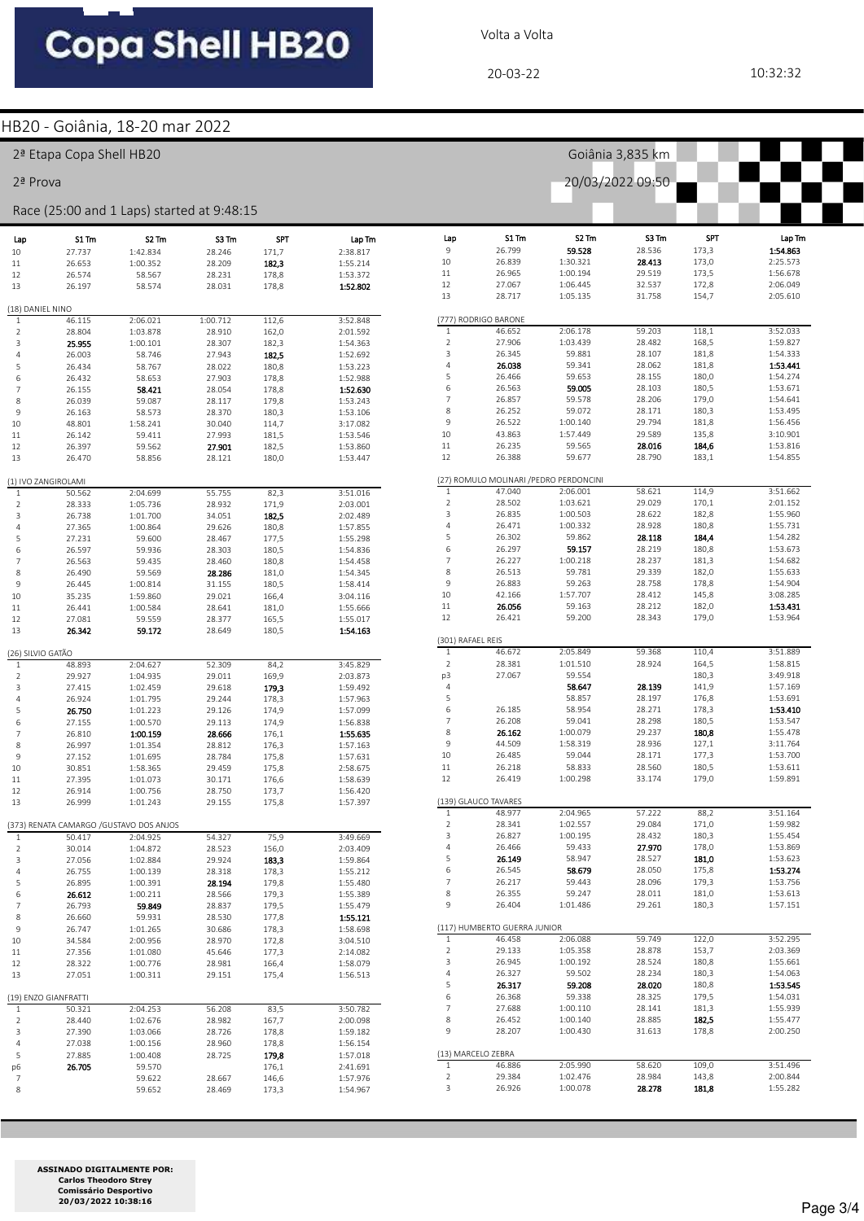Volta a Volta

20-03-22 10:32:32

#### HB20 - Goiânia, 18-20 mar 2022

|                     | 2ª Etapa Copa Shell HB20 |                                            |                  |                  |                      |                              |                                         |                             | Goiânia 3,835 km |                     |                      |
|---------------------|--------------------------|--------------------------------------------|------------------|------------------|----------------------|------------------------------|-----------------------------------------|-----------------------------|------------------|---------------------|----------------------|
| 2ª Prova            |                          |                                            |                  | 20/03/2022 09:50 |                      |                              |                                         |                             |                  |                     |                      |
|                     |                          | Race (25:00 and 1 Laps) started at 9:48:15 |                  |                  |                      |                              |                                         |                             |                  |                     |                      |
| Lap                 | S1 Tm                    | S <sub>2</sub> Tm                          | S3 Tm            | <b>SPT</b>       | Lap Tm               | Lap<br>9                     | S1 Tm<br>26.799                         | S <sub>2</sub> Tm<br>59.528 | S3 Tm<br>28.536  | <b>SPT</b><br>173,3 | Lap Tm<br>1:54.863   |
| 10<br>11            | 27.737<br>26.653         | 1:42.834<br>1:00.352                       | 28.246<br>28.209 | 171,7<br>182,3   | 2:38.817<br>1:55.214 | 10                           | 26.839                                  | 1:30.321                    | 28.413           | 173,0               | 2:25.573             |
| 12                  | 26.574                   | 58.567                                     | 28.231           | 178,8            | 1:53.372             | 11                           | 26.965                                  | 1:00.194                    | 29.519           | 173,5               | 1:56.678             |
| 13                  | 26.197                   | 58.574                                     | 28.031           | 178,8            | 1:52.802             | 12                           | 27.067                                  | 1:06.445                    | 32.537           | 172,8               | 2:06.049             |
|                     |                          |                                            |                  |                  |                      | 13                           | 28.717                                  | 1:05.135                    | 31.758           | 154,7               | 2:05.610             |
| (18) DANIEL NINO    |                          |                                            |                  |                  |                      |                              |                                         |                             |                  |                     |                      |
| 1                   | 46.115                   | 2:06.021                                   | 1:00.712         | 112,6            | 3:52.848             |                              | (777) RODRIGO BARONE                    |                             |                  |                     |                      |
| 2                   | 28.804                   | 1:03.878                                   | 28.910           | 162,0            | 2:01.592             | $\mathbf{1}$<br>$\mathsf{2}$ | 46.652<br>27.906                        | 2:06.178<br>1:03.439        | 59.203<br>28.482 | 118,1<br>168,5      | 3:52.033<br>1:59.827 |
| 3<br>$\overline{4}$ | 25.955                   | 1:00.101                                   | 28.307<br>27.943 | 182,3<br>182,5   | 1:54.363             | 3                            | 26.345                                  | 59.881                      | 28.107           | 181,8               | 1:54.333             |
| 5                   | 26.003<br>26.434         | 58.746<br>58.767                           | 28.022           | 180,8            | 1:52.692<br>1:53.223 | 4                            | 26.038                                  | 59.341                      | 28.062           | 181,8               | 1:53.441             |
| 6                   | 26.432                   | 58.653                                     | 27.903           | 178,8            | 1:52.988             | 5                            | 26.466                                  | 59.653                      | 28.155           | 180,0               | 1:54.274             |
| $\overline{7}$      | 26.155                   | 58.421                                     | 28.054           | 178,8            | 1:52.630             | 6                            | 26.563                                  | 59.005                      | 28.103           | 180,5               | 1:53.671             |
| 8                   | 26.039                   | 59.087                                     | 28.117           | 179,8            | 1:53.243             | $\overline{7}$               | 26.857                                  | 59.578                      | 28.206           | 179,0               | 1:54.641             |
| 9                   | 26.163                   | 58.573                                     | 28.370           | 180,3            | 1:53.106             | $\,$ 8 $\,$                  | 26.252                                  | 59.072                      | 28.171           | 180,3               | 1:53.495             |
| 10                  | 48.801                   | 1:58.241                                   | 30.040           | 114,7            | 3:17.082             | 9                            | 26.522                                  | 1:00.140                    | 29.794           | 181,8               | 1:56.456             |
| 11                  | 26.142                   | 59.411                                     | 27.993           | 181,5            | 1:53.546             | 10                           | 43.863                                  | 1:57.449                    | 29.589           | 135,8               | 3:10.901             |
| 12                  | 26.397                   | 59.562                                     | 27.901           | 182,5            | 1:53.860             | 11                           | 26.235                                  | 59.565                      | 28.016           | 184,6               | 1:53.816             |
| 13                  | 26.470                   | 58.856                                     | 28.121           | 180,0            | 1:53.447             | 12                           | 26.388                                  | 59.677                      | 28.790           | 183,1               | 1:54.855             |
|                     | (1) IVO ZANGIROLAMI      |                                            |                  |                  |                      |                              | (27) ROMULO MOLINARI / PEDRO PERDONCINI |                             |                  |                     |                      |
| 1                   | 50.562                   | 2:04.699                                   | 55.755           | 82,3             | 3:51.016             | $\mathbf{1}$                 | 47.040                                  | 2:06.001                    | 58.621           | 114,9               | 3:51.662             |
| 2                   | 28.333                   | 1:05.736                                   | 28.932           | 171,9            | 2:03.001             | $\overline{2}$<br>3          | 28.502<br>26.835                        | 1:03.621<br>1:00.503        | 29.029<br>28.622 | 170,1<br>182,8      | 2:01.152<br>1:55.960 |
| 3                   | 26.738                   | 1:01.700                                   | 34.051           | 182,5            | 2:02.489             | 4                            | 26.471                                  | 1:00.332                    | 28.928           | 180,8               | 1:55.731             |
| $\overline{4}$<br>5 | 27.365<br>27.231         | 1:00.864<br>59.600                         | 29.626<br>28.467 | 180,8<br>177,5   | 1:57.855<br>1:55.298 | 5                            | 26.302                                  | 59.862                      | 28.118           | 184,4               | 1:54.282             |
| 6                   | 26.597                   | 59.936                                     | 28.303           | 180,5            | 1:54.836             | 6                            | 26.297                                  | 59.157                      | 28.219           | 180,8               | 1:53.673             |
| 7                   | 26.563                   | 59.435                                     | 28.460           | 180,8            | 1:54.458             | $\overline{7}$               | 26.227                                  | 1:00.218                    | 28.237           | 181,3               | 1:54.682             |
| 8                   | 26.490                   | 59.569                                     | 28.286           | 181,0            | 1:54.345             | $\,$ 8 $\,$                  | 26.513                                  | 59.781                      | 29.339           | 182,0               | 1:55.633             |
| 9                   | 26.445                   | 1:00.814                                   | 31.155           | 180,5            | 1:58.414             | 9                            | 26.883                                  | 59.263                      | 28.758           | 178,8               | 1:54.904             |
| 10                  | 35.235                   | 1:59.860                                   | 29.021           | 166,4            | 3:04.116             | $10\,$                       | 42.166                                  | 1:57.707                    | 28.412           | 145,8               | 3:08.285             |
| 11                  | 26.441                   | 1:00.584                                   | 28.641           | 181,0            | 1:55.666             | 11                           | 26.056                                  | 59.163                      | 28.212           | 182,0               | 1:53.431             |
| 12                  | 27.081                   | 59.559                                     | 28.377           | 165,5            | 1:55.017             | 12                           | 26.421                                  | 59.200                      | 28.343           | 179,0               | 1:53.964             |
| 13                  | 26.342                   | 59.172                                     | 28.649           | 180,5            | 1:54.163             |                              |                                         |                             |                  |                     |                      |
|                     |                          |                                            |                  |                  |                      | (301) RAFAEL REIS            |                                         |                             |                  |                     |                      |
| (26) SILVIO GATÃO   |                          |                                            |                  |                  |                      | $\mathbf{1}$<br>$\mathbf 2$  | 46.672<br>28.381                        | 2:05.849<br>1:01.510        | 59.368<br>28.924 | 110,4<br>164,5      | 3:51.889<br>1:58.815 |
| 1                   | 48.893                   | 2:04.627                                   | 52.309           | 84,2             | 3:45.829             | p3                           | 27.067                                  | 59.554                      |                  | 180,3               | 3:49.918             |
| $\overline{2}$<br>3 | 29.927<br>27.415         | 1:04.935<br>1:02.459                       | 29.011<br>29.618 | 169,9<br>179,3   | 2:03.873<br>1:59.492 | $\overline{4}$               |                                         | 58.647                      | 28.139           | 141,9               | 1:57.169             |
| $\overline{4}$      | 26.924                   | 1:01.795                                   | 29.244           | 178,3            | 1:57.963             | 5                            |                                         | 58.857                      | 28.197           | 176,8               | 1:53.691             |
| 5                   | 26.750                   | 1:01.223                                   | 29.126           | 174,9            | 1:57.099             | 6                            | 26.185                                  | 58.954                      | 28.271           | 178,3               | 1:53.410             |
| 6                   | 27.155                   | 1:00.570                                   | 29.113           | 174,9            | 1:56.838             | $\overline{7}$               | 26.208                                  | 59.041                      | 28.298           | 180,5               | 1:53.547             |
| $\overline{7}$      | 26.810                   | 1:00.159                                   | 28.666           | 176,1            | 1:55.635             | $\,$ 8 $\,$                  | 26.162                                  | 1:00.079                    | 29.237           | 180,8               | 1:55.478             |
| 8                   | 26.997                   | 1:01.354                                   | 28.812           | 176,3            | 1:57.163             | 9                            | 44.509                                  | 1:58.319                    | 28.936           | 127,1               | 3:11.764             |
| 9                   | 27.152                   | 1:01.695                                   | 28.784           | 175,8            | 1:57.631             | 10                           | 26.485                                  | 59.044                      | 28.171           | 177,3               | 1:53.700             |
| 10                  | 30.851                   | 1:58.365                                   | 29.459           | 175,8            | 2:58.675             | 11                           | 26.218                                  | 58.833                      | 28.560           | 180,5               | 1:53.611             |
| 11                  | 27.395                   | 1:01.073                                   | 30.171           | 176,6            | 1:58.639             | 12                           | 26.419                                  | 1:00.298                    | 33.174           | 179,0               | 1:59.891             |
| 12<br>13            | 26.914<br>26.999         | 1:00.756<br>1:01.243                       | 28.750<br>29.155 | 173,7<br>175,8   | 1:56.420<br>1:57.397 |                              | (139) GLAUCO TAVARES                    |                             |                  |                     |                      |
|                     |                          |                                            |                  |                  |                      | $\mathbf{1}$                 | 48.977                                  | 2:04.965                    | 57.222           | 88,2                | 3:51.164             |
|                     |                          | (373) RENATA CAMARGO / GUSTAVO DOS ANJOS   |                  |                  |                      | $\mathbf 2$                  | 28.341                                  | 1:02.557                    | 29.084           | 171,0               | 1:59.982             |
| 1                   | 50.417                   | 2:04.925                                   | 54.327           | 75,9             | 3:49.669             | 3                            | 26.827                                  | 1:00.195                    | 28.432           | 180,3               | 1:55.454             |
| $\overline{2}$      | 30.014                   | 1:04.872                                   | 28.523           | 156,0            | 2:03.409             | $\sqrt{4}$                   | 26.466                                  | 59.433                      | 27.970           | 178,0               | 1:53.869             |
| 3                   | 27.056                   | 1:02.884                                   | 29.924           | 183,3            | 1:59.864             | 5                            | 26.149                                  | 58.947                      | 28.527           | 181,0               | 1:53.623             |
| 4                   | 26.755                   | 1:00.139                                   | 28.318           | 178,3            | 1:55.212             | 6                            | 26.545                                  | 58.679                      | 28.050           | 175,8               | 1:53.274             |
| 5                   | 26.895                   | 1:00.391                                   | 28.194           | 179,8            | 1:55.480             | $\overline{7}$               | 26.217                                  | 59.443                      | 28.096           | 179,3               | 1:53.756             |
| 6<br>$\overline{7}$ | 26.612                   | 1:00.211                                   | 28.566<br>28.837 | 179,3            | 1:55.389             | 8<br>9                       | 26.355<br>26.404                        | 59.247<br>1:01.486          | 28.011<br>29.261 | 181,0<br>180,3      | 1:53.613<br>1:57.151 |
| 8                   | 26.793<br>26.660         | 59.849<br>59.931                           | 28.530           | 179,5<br>177,8   | 1:55.479<br>1:55.121 |                              |                                         |                             |                  |                     |                      |
| 9                   | 26.747                   | 1:01.265                                   | 30.686           | 178,3            | 1:58.698             |                              | (117) HUMBERTO GUERRA JUNIOR            |                             |                  |                     |                      |
| 10                  | 34.584                   | 2:00.956                                   | 28.970           | 172,8            | 3:04.510             | $1\,$                        | 46.458                                  | 2:06.088                    | 59.749           | 122,0               | 3:52.295             |
| 11                  | 27.356                   | 1:01.080                                   | 45.646           | 177,3            | 2:14.082             | $\mathsf{2}$                 | 29.133                                  | 1:05.358                    | 28.878           | 153,7               | 2:03.369             |
| 12                  | 28.322                   | 1:00.776                                   | 28.981           | 166,4            | 1:58.079             | 3                            | 26.945                                  | 1:00.192                    | 28.524           | 180,8               | 1:55.661             |
| 13                  | 27.051                   | 1:00.311                                   | 29.151           | 175,4            | 1:56.513             | $\sqrt{4}$                   | 26.327                                  | 59.502                      | 28.234           | 180,3               | 1:54.063             |
|                     |                          |                                            |                  |                  |                      | 5                            | 26.317                                  | 59.208                      | 28.020           | 180,8               | 1:53.545             |
|                     | (19) ENZO GIANFRATTI     |                                            |                  |                  |                      | 6                            | 26.368                                  | 59.338                      | 28.325           | 179,5               | 1:54.031             |
| 1                   | 50.321                   | 2:04.253                                   | 56.208           | 83,5             | 3:50.782             | 7                            | 27.688                                  | 1:00.110                    | 28.141           | 181,3               | 1:55.939             |
| $\overline{2}$      | 28.440                   | 1:02.676                                   | 28.982           | 167,7            | 2:00.098             | 8                            | 26.452                                  | 1:00.140                    | 28.885           | 182,5               | 1:55.477             |
| 3                   | 27.390                   | 1:03.066                                   | 28.726           | 178,8            | 1:59.182             | 9                            | 28.207                                  | 1:00.430                    | 31.613           | 178,8               | 2:00.250             |
| $\overline{4}$      | 27.038                   | 1:00.156                                   | 28.960           | 178,8            | 1:56.154             | (13) MARCELO ZEBRA           |                                         |                             |                  |                     |                      |
| 5                   | 27.885                   | 1:00.408                                   | 28.725           | 179,8            | 1:57.018             | 1                            | 46.886                                  | 2:05.990                    | 58.620           | 109,0               | 3:51.496             |
| p6<br>7             | 26.705                   | 59.570<br>59.622                           | 28.667           | 176,1<br>146,6   | 2:41.691<br>1:57.976 | $\overline{2}$               | 29.384                                  | 1:02.476                    | 28.984           | 143,8               | 2:00.844             |
| 8                   |                          | 59.652                                     | 28.469           | 173,3            | 1:54.967             | 3                            | 26.926                                  | 1:00.078                    | 28.278           | 181,8               | 1:55.282             |
|                     |                          |                                            |                  |                  |                      |                              |                                         |                             |                  |                     |                      |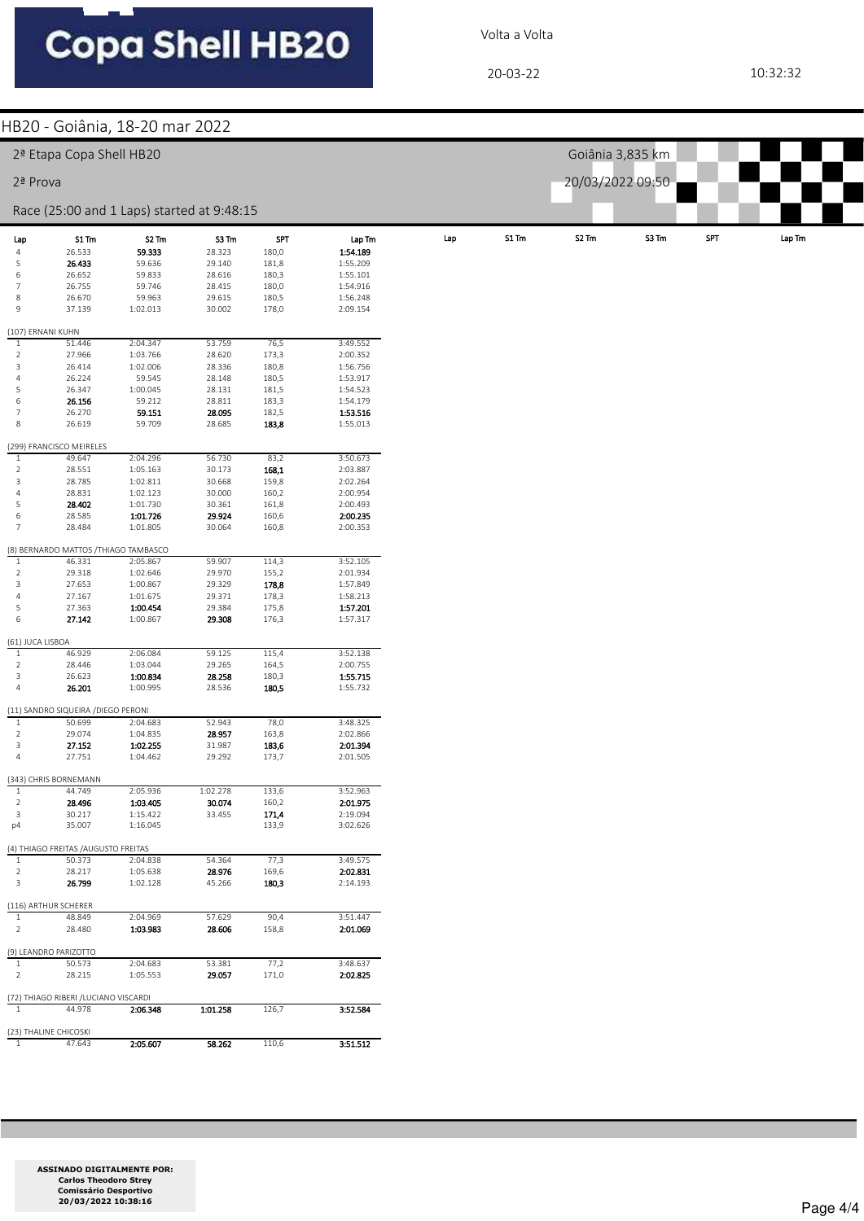Volta a Volta

20-03-22 10:32:32

|                                  |                                                 | HB20 - Goiânia, 18-20 mar 2022             |                  |                |                      |     |       |                   |                  |            |                                                                   |
|----------------------------------|-------------------------------------------------|--------------------------------------------|------------------|----------------|----------------------|-----|-------|-------------------|------------------|------------|-------------------------------------------------------------------|
|                                  | 2ª Etapa Copa Shell HB20                        |                                            |                  |                |                      |     |       |                   | Goiânia 3,835 km |            |                                                                   |
|                                  |                                                 |                                            |                  |                |                      |     |       |                   |                  |            |                                                                   |
| 2ª Prova                         |                                                 |                                            |                  |                |                      |     |       | 20/03/2022 09:50  |                  |            |                                                                   |
|                                  |                                                 | Race (25:00 and 1 Laps) started at 9:48:15 |                  |                |                      |     |       |                   |                  |            |                                                                   |
| Lap                              | S1 Tm                                           | S2 Tm                                      | S3 Tm            | <b>SPT</b>     | Lap Tm               | Lap | S1 Tm | S <sub>2</sub> Tm | S3 Tm            | <b>SPT</b> | $\ensuremath{\mathsf{Lap}}\xspace\ensuremath{\mathsf{Tm}}\xspace$ |
| $\overline{a}$                   | 26.533                                          | 59.333                                     | 28.323           | 180,0          | 1:54.189             |     |       |                   |                  |            |                                                                   |
| 5                                | 26.433                                          | 59.636                                     | 29.140           | 181,8          | 1:55.209             |     |       |                   |                  |            |                                                                   |
| 6<br>$\overline{7}$              | 26.652<br>26.755                                | 59.833<br>59.746                           | 28.616<br>28.415 | 180,3<br>180,0 | 1:55.101<br>1:54.916 |     |       |                   |                  |            |                                                                   |
| $\,$ 8 $\,$                      | 26.670                                          | 59.963                                     | 29.615           | 180,5          | 1:56.248             |     |       |                   |                  |            |                                                                   |
| $\mathsf{9}$                     | 37.139                                          | 1:02.013                                   | 30.002           | 178,0          | 2:09.154             |     |       |                   |                  |            |                                                                   |
|                                  |                                                 |                                            |                  |                |                      |     |       |                   |                  |            |                                                                   |
| (107) ERNANI KUHN<br>$\,1\,$     | 51.446                                          | 2:04.347                                   | 53.759           | 76,5           | 3:49.552             |     |       |                   |                  |            |                                                                   |
| $\overline{2}$                   | 27.966                                          | 1:03.766                                   | 28.620           | 173,3          | 2:00.352             |     |       |                   |                  |            |                                                                   |
| 3                                | 26.414                                          | 1:02.006                                   | 28.336           | 180,8          | 1:56.756             |     |       |                   |                  |            |                                                                   |
| $\overline{4}$                   | 26.224                                          | 59.545                                     | 28.148           | 180,5          | 1:53.917             |     |       |                   |                  |            |                                                                   |
| 5<br>$\sqrt{6}$                  | 26.347<br>26.156                                | 1:00.045<br>59.212                         | 28.131<br>28.811 | 181,5<br>183,3 | 1:54.523<br>1:54.179 |     |       |                   |                  |            |                                                                   |
| $\overline{7}$                   | 26.270                                          | 59.151                                     | 28.095           | 182,5          | 1:53.516             |     |       |                   |                  |            |                                                                   |
| $\,$ 8                           | 26.619                                          | 59.709                                     | 28.685           | 183,8          | 1:55.013             |     |       |                   |                  |            |                                                                   |
|                                  |                                                 |                                            |                  |                |                      |     |       |                   |                  |            |                                                                   |
| $\mathbf{1}$                     | (299) FRANCISCO MEIRELES<br>49.647              | 2:04.296                                   | 56.730           | 83,2           | 3:50.673             |     |       |                   |                  |            |                                                                   |
| $\sqrt{2}$                       | 28.551                                          | 1:05.163                                   | 30.173           | 168,1          | 2:03.887             |     |       |                   |                  |            |                                                                   |
| $\overline{3}$                   | 28.785                                          | 1:02.811                                   | 30.668           | 159,8          | 2:02.264             |     |       |                   |                  |            |                                                                   |
| $\overline{4}$                   | 28.831                                          | 1:02.123                                   | 30.000           | 160,2          | 2:00.954             |     |       |                   |                  |            |                                                                   |
| 5<br>$\sqrt{6}$                  | 28.402<br>28.585                                | 1:01.730<br>1:01.726                       | 30.361<br>29.924 | 161,8<br>160,6 | 2:00.493<br>2:00.235 |     |       |                   |                  |            |                                                                   |
| $\overline{7}$                   | 28.484                                          | 1:01.805                                   | 30.064           | 160,8          | 2:00.353             |     |       |                   |                  |            |                                                                   |
|                                  |                                                 |                                            |                  |                |                      |     |       |                   |                  |            |                                                                   |
| $\,1\,$                          | (8) BERNARDO MATTOS / THIAGO TAMBASCO<br>46.331 | 2:05.867                                   | 59.907           | 114,3          | 3:52.105             |     |       |                   |                  |            |                                                                   |
| $\overline{2}$                   | 29.318                                          | 1:02.646                                   | 29.970           | 155,2          | 2:01.934             |     |       |                   |                  |            |                                                                   |
| 3                                | 27.653                                          | 1:00.867                                   | 29.329           | 178,8          | 1:57.849             |     |       |                   |                  |            |                                                                   |
| $\overline{4}$                   | 27.167                                          | 1:01.675                                   | 29.371           | 178,3          | 1:58.213             |     |       |                   |                  |            |                                                                   |
| 5<br>$\,$ 6                      | 27.363<br>27.142                                | 1:00.454<br>1:00.867                       | 29.384<br>29.308 | 175,8<br>176,3 | 1:57.201<br>1:57.317 |     |       |                   |                  |            |                                                                   |
|                                  |                                                 |                                            |                  |                |                      |     |       |                   |                  |            |                                                                   |
| (61) JUCA LISBOA<br>$\mathbf{1}$ | 46.929                                          | 2:06.084                                   | 59.125           | 115,4          | 3:52.138             |     |       |                   |                  |            |                                                                   |
| $\overline{2}$                   | 28.446                                          | 1:03.044                                   | 29.265           | 164,5          | 2:00.755             |     |       |                   |                  |            |                                                                   |
| 3                                | 26.623                                          | 1:00.834                                   | 28.258           | 180,3          | 1:55.715             |     |       |                   |                  |            |                                                                   |
| $\overline{4}$                   | 26.201                                          | 1:00.995                                   | 28.536           | 180,5          | 1:55.732             |     |       |                   |                  |            |                                                                   |
|                                  | (11) SANDRO SIQUEIRA / DIEGO PERONI             |                                            |                  |                |                      |     |       |                   |                  |            |                                                                   |
| $\mathbf{1}$                     | 50.699                                          | 2:04.683                                   | 52.943           | 78,0           | 3:48.325             |     |       |                   |                  |            |                                                                   |
| $\overline{2}$<br>3              | 29.074<br>27.152                                | 1:04.835<br>1:02.255                       | 28.957<br>31.987 | 163,8<br>183,6 | 2:02.866<br>2:01.394 |     |       |                   |                  |            |                                                                   |
|                                  | 27.751                                          | 1:04.462                                   | 29.292           | 173,7          | 2:01.505             |     |       |                   |                  |            |                                                                   |
|                                  | (343) CHRIS BORNEMANN                           |                                            |                  |                |                      |     |       |                   |                  |            |                                                                   |
| $\mathbf{1}$                     | 44.749                                          | 2:05.936                                   | 1:02.278         | 133,6          | 3:52.963             |     |       |                   |                  |            |                                                                   |
| $\overline{2}$                   | 28.496                                          | 1:03.405                                   | 30.074           | 160,2          | 2:01.975             |     |       |                   |                  |            |                                                                   |
| $\overline{\mathbf{3}}$          | 30.217                                          | 1:15.422                                   | 33.455           | 171,4          | 2:19.094             |     |       |                   |                  |            |                                                                   |
| p4                               | 35.007                                          | 1:16.045                                   |                  | 133,9          | 3:02.626             |     |       |                   |                  |            |                                                                   |
|                                  | (4) THIAGO FREITAS / AUGUSTO FREITAS            |                                            |                  |                |                      |     |       |                   |                  |            |                                                                   |
| $\mathbf{1}$                     | 50.373                                          | 2:04.838                                   | 54.364           | 77,3           | 3:49.575             |     |       |                   |                  |            |                                                                   |
| $\overline{2}$<br>$\overline{3}$ | 28.217<br>26.799                                | 1:05.638<br>1:02.128                       | 28.976           | 169,6          | 2:02.831             |     |       |                   |                  |            |                                                                   |
|                                  |                                                 |                                            | 45.266           | 180,3          | 2:14.193             |     |       |                   |                  |            |                                                                   |
|                                  | (116) ARTHUR SCHERER                            |                                            |                  |                |                      |     |       |                   |                  |            |                                                                   |
| $\mathbf{1}$<br>$\overline{2}$   | 48.849<br>28.480                                | 2:04.969<br>1:03.983                       | 57.629<br>28.606 | 90,4<br>158,8  | 3:51.447<br>2:01.069 |     |       |                   |                  |            |                                                                   |
|                                  |                                                 |                                            |                  |                |                      |     |       |                   |                  |            |                                                                   |
| $\mathbf{1}$                     | (9) LEANDRO PARIZOTTO<br>50.573                 | 2:04.683                                   | 53.381           | 77,2           | 3:48.637             |     |       |                   |                  |            |                                                                   |
| $\overline{2}$                   | 28.215                                          | 1:05.553                                   | 29.057           | 171,0          | 2:02.825             |     |       |                   |                  |            |                                                                   |
|                                  |                                                 |                                            |                  |                |                      |     |       |                   |                  |            |                                                                   |
| $\mathbf{1}$                     | (72) THIAGO RIBERI / LUCIANO VISCARDI<br>44.978 | 2:06.348                                   | 1:01.258         | 126,7          | 3:52.584             |     |       |                   |                  |            |                                                                   |
|                                  |                                                 |                                            |                  |                |                      |     |       |                   |                  |            |                                                                   |
|                                  | (23) THALINE CHICOSKI                           |                                            |                  |                |                      |     |       |                   |                  |            |                                                                   |
| $\mathbf{1}$                     | 47.643                                          | 2:05.607                                   | 58.262           | 110,6          | 3:51.512             |     |       |                   |                  |            |                                                                   |